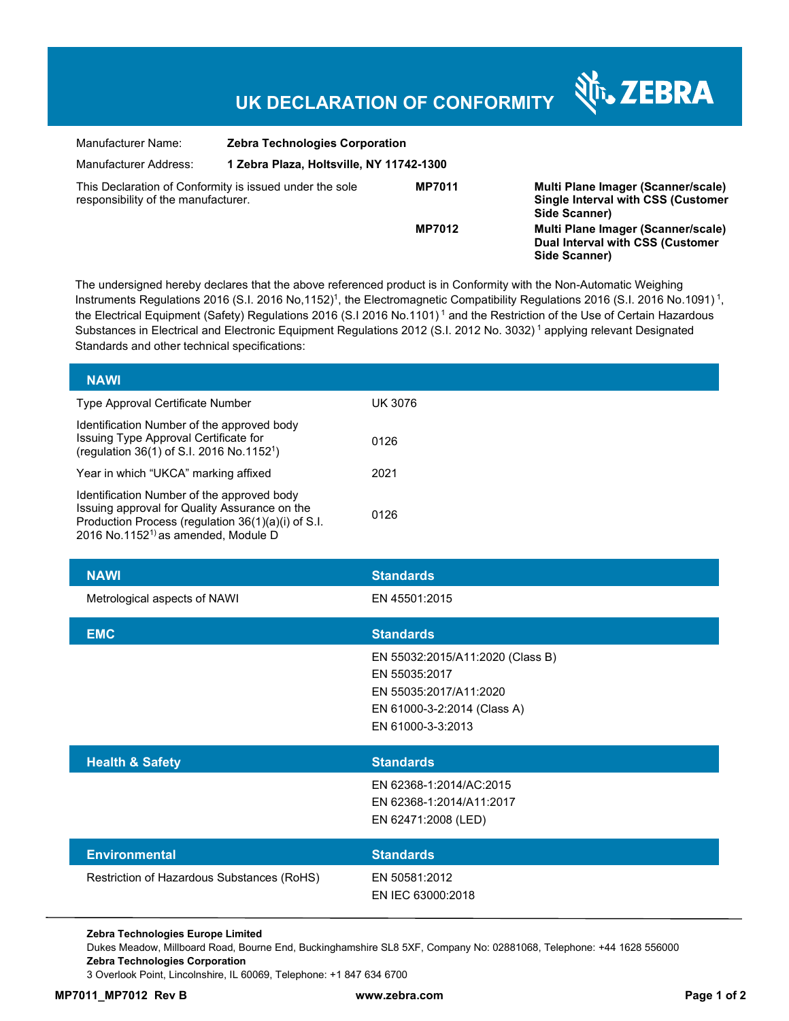## **UK DECLARATION OF CONFORMITY**

र्शे<sub>ं</sub> ZEBRA

| Manufacturer Name:                                                                             | <b>Zebra Technologies Corporation</b><br>1 Zebra Plaza, Holtsville, NY 11742-1300 |               |                                                                                                  |
|------------------------------------------------------------------------------------------------|-----------------------------------------------------------------------------------|---------------|--------------------------------------------------------------------------------------------------|
| Manufacturer Address:                                                                          |                                                                                   |               |                                                                                                  |
| This Declaration of Conformity is issued under the sole<br>responsibility of the manufacturer. |                                                                                   | <b>MP7011</b> | Multi Plane Imager (Scanner/scale)<br><b>Single Interval with CSS (Customer</b><br>Side Scanner) |
|                                                                                                |                                                                                   | <b>MP7012</b> | Multi Plane Imager (Scanner/scale)<br>Dual Interval with CSS (Customer<br>Side Scanner)          |

The undersigned hereby declares that the above referenced product is in Conformity with the Non-Automatic Weighing Instruments Regulations 2016 (S.I. 2016 No,1152)<sup>1</sup>, the Electromagnetic Compatibility Regulations 2016 (S.I. 2016 No.1091)<sup>1</sup>, the Electrical Equipment (Safety) Regulations 2016 (S.I 2016 No.1101)<sup>1</sup> and the Restriction of the Use of Certain Hazardous Substances in Electrical and Electronic Equipment Regulations 2012 (S.I. 2012 No. 3032)<sup>1</sup> applying relevant Designated Standards and other technical specifications:

| <b>NAWI</b>                                                                                                                                                                                          |                                                                                                                                 |  |
|------------------------------------------------------------------------------------------------------------------------------------------------------------------------------------------------------|---------------------------------------------------------------------------------------------------------------------------------|--|
| Type Approval Certificate Number                                                                                                                                                                     | <b>UK 3076</b>                                                                                                                  |  |
| Identification Number of the approved body<br>Issuing Type Approval Certificate for<br>(regulation 36(1) of S.I. 2016 No.1152 <sup>1</sup> )                                                         | 0126                                                                                                                            |  |
| Year in which "UKCA" marking affixed                                                                                                                                                                 | 2021                                                                                                                            |  |
| Identification Number of the approved body<br>Issuing approval for Quality Assurance on the<br>Production Process (regulation 36(1)(a)(i) of S.I.<br>2016 No.1152 <sup>1)</sup> as amended, Module D | 0126                                                                                                                            |  |
| <b>NAWI</b>                                                                                                                                                                                          | <b>Standards</b>                                                                                                                |  |
| Metrological aspects of NAWI                                                                                                                                                                         | EN 45501:2015                                                                                                                   |  |
| <b>EMC</b>                                                                                                                                                                                           | <b>Standards</b>                                                                                                                |  |
|                                                                                                                                                                                                      | EN 55032:2015/A11:2020 (Class B)<br>EN 55035:2017<br>EN 55035:2017/A11:2020<br>EN 61000-3-2:2014 (Class A)<br>EN 61000-3-3:2013 |  |
| <b>Health &amp; Safety</b>                                                                                                                                                                           | <b>Standards</b>                                                                                                                |  |
|                                                                                                                                                                                                      | EN 62368-1:2014/AC:2015<br>EN 62368-1:2014/A11:2017<br>EN 62471:2008 (LED)                                                      |  |
| <b>Environmental</b>                                                                                                                                                                                 | <b>Standards</b>                                                                                                                |  |
| Restriction of Hazardous Substances (RoHS)                                                                                                                                                           | EN 50581:2012<br>EN IEC 63000:2018                                                                                              |  |

**Zebra Technologies Europe Limited** 

Dukes Meadow, Millboard Road, Bourne End, Buckinghamshire SL8 5XF, Company No: 02881068, Telephone: +44 1628 556000 **Zebra Technologies Corporation** 

3 Overlook Point, Lincolnshire, IL 60069, Telephone: +1 847 634 6700